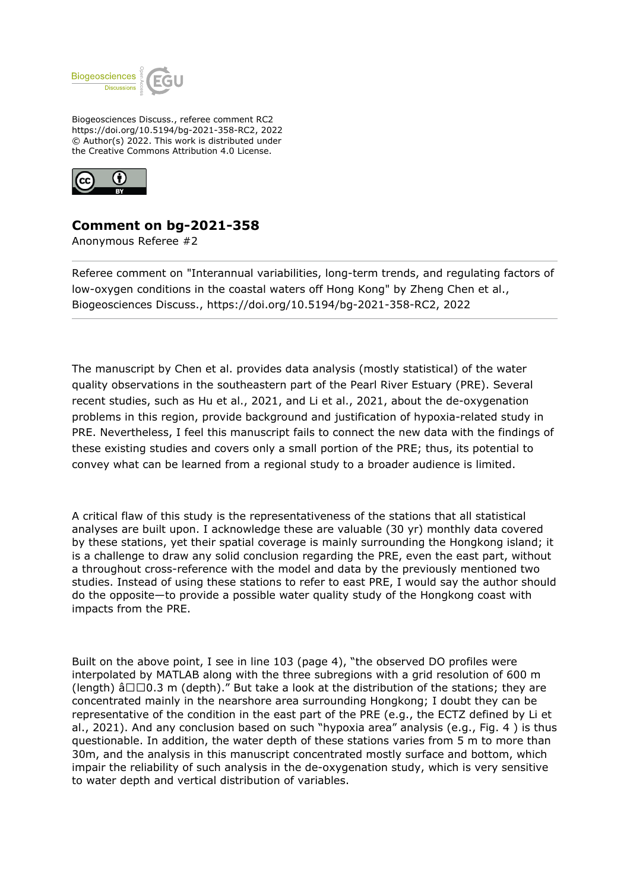

Biogeosciences Discuss., referee comment RC2 https://doi.org/10.5194/bg-2021-358-RC2, 2022 © Author(s) 2022. This work is distributed under the Creative Commons Attribution 4.0 License.



## **Comment on bg-2021-358**

Anonymous Referee #2

Referee comment on "Interannual variabilities, long-term trends, and regulating factors of low-oxygen conditions in the coastal waters off Hong Kong" by Zheng Chen et al., Biogeosciences Discuss., https://doi.org/10.5194/bg-2021-358-RC2, 2022

The manuscript by Chen et al. provides data analysis (mostly statistical) of the water quality observations in the southeastern part of the Pearl River Estuary (PRE). Several recent studies, such as Hu et al., 2021, and Li et al., 2021, about the de-oxygenation problems in this region, provide background and justification of hypoxia-related study in PRE. Nevertheless, I feel this manuscript fails to connect the new data with the findings of these existing studies and covers only a small portion of the PRE; thus, its potential to convey what can be learned from a regional study to a broader audience is limited.

A critical flaw of this study is the representativeness of the stations that all statistical analyses are built upon. I acknowledge these are valuable (30 yr) monthly data covered by these stations, yet their spatial coverage is mainly surrounding the Hongkong island; it is a challenge to draw any solid conclusion regarding the PRE, even the east part, without a throughout cross-reference with the model and data by the previously mentioned two studies. Instead of using these stations to refer to east PRE, I would say the author should do the opposite—to provide a possible water quality study of the Hongkong coast with impacts from the PRE.

Built on the above point, I see in line 103 (page 4), "the observed DO profiles were interpolated by MATLAB along with the three subregions with a grid resolution of 600 m (length)  $\hat{a}\Box\Box 0.3$  m (depth)." But take a look at the distribution of the stations; they are concentrated mainly in the nearshore area surrounding Hongkong; I doubt they can be representative of the condition in the east part of the PRE (e.g., the ECTZ defined by Li et al., 2021). And any conclusion based on such "hypoxia area" analysis (e.g., Fig. 4 ) is thus questionable. In addition, the water depth of these stations varies from 5 m to more than 30m, and the analysis in this manuscript concentrated mostly surface and bottom, which impair the reliability of such analysis in the de-oxygenation study, which is very sensitive to water depth and vertical distribution of variables.